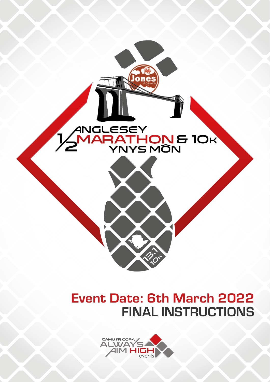

## FINAL INSTRUCTIONS Event Date: 6th March 2022

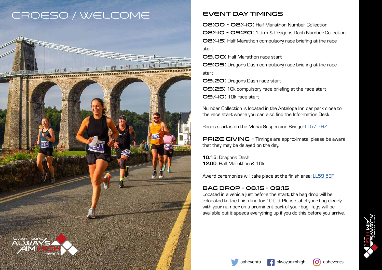





<del>Alamininon anno 1999</del>



08:00 - 08:40: Half Marathon Number Collection 08:40 - 09:20: 10km & Dragons Dash Number Collection 08:45: Half Marathon compulsory race briefing at the race start 09.00: Half Marathon race start

09:05: Dragons Dash compulsory race briefing at the race start

09.20: Dragons Dash race start

PRIZE GIVING - Timings are approximate, please be aware that they may be delayed on the day.

09:25: 10k compulsory race briefing at the race start

09.40: 10k race start

Number Collection is located in the Antelope Inn car park close to the race start where you can also find the Information Desk.

Races start is on the Menai Suspension Bridge: [LL57 2HZ](https://www.google.com/maps/place/Menai+Suspension+Bridge,+Bangor+LL57+2HZ/@53.2190587,-4.1631142,18z/data=!3m1!4b1!4m13!1m7!3m6!1s0x4865a9f970d5df8b:0xd3da85f608628d1e!2sHigh+St,+Menai+Bridge+LL59+5EF!3b1!8m2!3d53.2272179!4d-4.1621854!3m4!1s0x4865a9e51ae5d2a1:0xe1f0c09ec7438aa9!8m2!3d53.2190669!4d-4.1620735)

10.15: Dragons Dash 12.00: Half Marathon & 10k

Award ceremonies will take place at the finish area: [LL59 5EF](https://www.google.com/maps/place/Waun+Car+Park/@53.2274396,-4.1636808,17.93z/data=!4m13!1m7!3m6!1s0x4865a9f970d5df8b:0xd3da85f608628d1e!2sHigh+St,+Menai+Bridge+LL59+5EF!3b1!8m2!3d53.2272179!4d-4.1621854!3m4!1s0x4865a9f9a0376c17:0x2be1b40cb07d4fbd!8m2!3d53.2277487!4d-4.1629259)

#### Bag Drop - 08.15 - 09:15

Located in a vehicle just before the start, the bag drop will be relocated to the finish line for 10:00. Please label your bag clearly with your number on a prominent part of your bag. Tags will be available but it speeds everything up if you do this before you arrive.





#### Event day Timings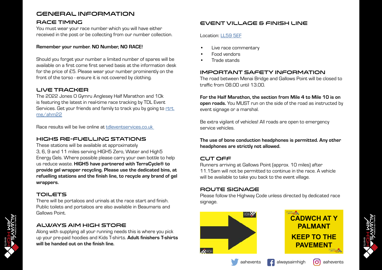#### Event Village & Finish Line

- Live race commentary
- Food vendors
- Trade stands

#### Location: [LL59 5EF](https://www.google.com/maps/place/Waun+Car+Park/@53.2274396,-4.1636808,17.93z/data=!4m13!1m7!3m6!1s0x4865a9f970d5df8b:0xd3da85f608628d1e!2sHigh+St,+Menai+Bridge+LL59+5EF!3b1!8m2!3d53.2272179!4d-4.1621854!3m4!1s0x4865a9f9a0376c17:0x2be1b40cb07d4fbd!8m2!3d53.2277487!4d-4.1629259)

#### Important Safety Information

The road between Menai Bridge and Gallows Point will be closed to traffic from 08.00 until 13.00.

For the Half Marathon, the section from Mile 4 to Mile 10 is on open roads. You MUST run on the side of the road as instructed by event signage or a marshal.

Be extra vigilant of vehicles! All roads are open to emergency service vehicles.

The use of bone conduction headphones is permitted. Any other headphones are strictly not allowed.

#### Cut off

Runners arriving at Gallows Point (approx. 10 miles) after 11.15am will not be permitted to continue in the race. A vehicle will be available to take you back to the event village.

#### Route Signage

Please follow the Highway Code unless directed by dedicated race signage.

#### Race Timing

You must wear your race number which you will have either received in the post or be collecting from our number collection.

#### Remember your number. NO Number, NO RACE!

Should you forget your number a limited number of spares will be available on a first come first served basis at the information desk for the price of £5. Please wear your number prominently on the front of the torso - ensure it is not covered by clothing.







#### Live Tracker

The 2022 Jones O Gymru Anglesey Half Marathon and 10k is featuring the latest in real-time race tracking by TDL Event Services. Get your friends and family to track you by going to [rtrt.](https://rtrt.me/ahm22) [me/ahm22](https://rtrt.me/ahm22)

Race results will be live online at tdleventservices.co.uk

#### HIGH5 Re-fuelling Stations

These stations will be available at approximately 3, 6, 9 and 11 miles serving HIGH5 Zero, Water and High5 Energy Gels. Where possible please carry your own bottle to help us reduce waste. HIGH5 have partnered with TerraCycle® to provide gel wrapper recycling. Please use the dedicated bins, at refuelling stations and the finish line, to recycle *any* brand of gel wrappers.

#### **TOILETS**

There will be portaloos and urinals at the race start and finish. Public toilets and portaloos are also available in Beaumaris and Gallows Point.

#### Always Aim High Store

Along with supplying all your running needs this is where you pick up your pre-paid hoodies and Kids T-shirts. Adult finishers T-shirts will be handed out on the finish line.

### General Information